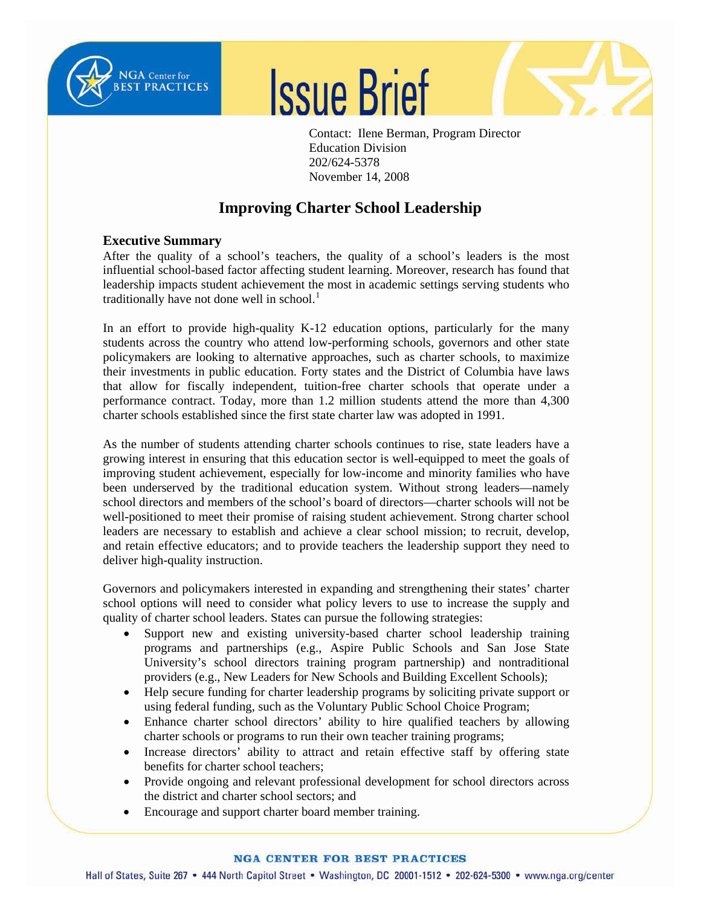

Ī





Contact: Ilene Berman, Program Director Education Division 202/624-5378 November 14, 2008

# **Improving Charter School Leadership**

# **Executive Summary**

After the quality of a school's teachers, the quality of a school's leaders is the most influential school-based factor affecting student learning. Moreover, research has found that leadership impacts student achievement the most in academic settings serving students who traditionally have not done well in school. $<sup>1</sup>$  $<sup>1</sup>$  $<sup>1</sup>$ </sup>

In an effort to provide high-quality K-12 education options, particularly for the many students across the country who attend low-performing schools, governors and other state policymakers are looking to alternative approaches, such as charter schools, to maximize their investments in public education. Forty states and the District of Columbia have laws that allow for fiscally independent, tuition-free charter schools that operate under a performance contract. Today, more than 1.2 million students attend the more than 4,300 charter schools established since the first state charter law was adopted in 1991.

As the number of students attending charter schools continues to rise, state leaders have a growing interest in ensuring that this education sector is well-equipped to meet the goals of improving student achievement, especially for low-income and minority families who have been underserved by the traditional education system. Without strong leaders—namely school directors and members of the school's board of directors—charter schools will not be well-positioned to meet their promise of raising student achievement. Strong charter school leaders are necessary to establish and achieve a clear school mission; to recruit, develop, and retain effective educators; and to provide teachers the leadership support they need to deliver high-quality instruction.

Governors and policymakers interested in expanding and strengthening their states' charter school options will need to consider what policy levers to use to increase the supply and quality of charter school leaders. States can pursue the following strategies:

- Support new and existing university-based charter school leadership training programs and partnerships (e.g., Aspire Public Schools and San Jose State University's school directors training program partnership) and nontraditional providers (e.g., New Leaders for New Schools and Building Excellent Schools);
- Help secure funding for charter leadership programs by soliciting private support or using federal funding, such as the Voluntary Public School Choice Program;
- Enhance charter school directors' ability to hire qualified teachers by allowing charter schools or programs to run their own teacher training programs;
- Increase directors' ability to attract and retain effective staff by offering state benefits for charter school teachers;
- Provide ongoing and relevant professional development for school directors across the district and charter school sectors; and
- Encourage and support charter board member training.

## **NGA CENTER FOR BEST PRACTICES**

Hall of States, Suite 267 • 444 North Capitol Street • Washington, DC 20001-1512 • 202-624-5300 • www.nga.org/center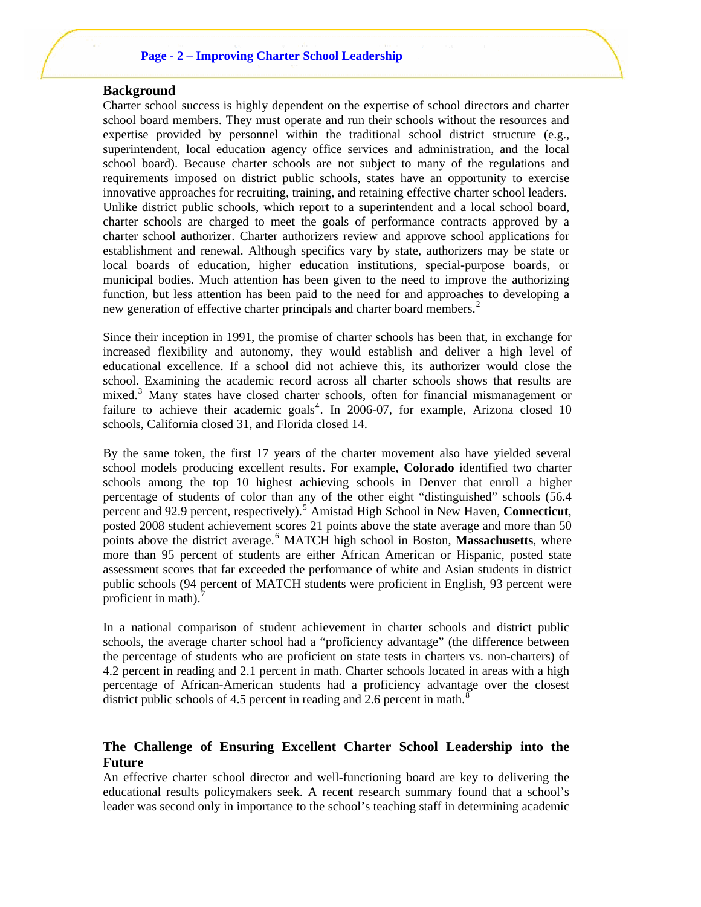## **Page - 2 – Improving Charter School Leadership**

# **Background**

Charter school success is highly dependent on the expertise of school directors and charter school board members. They must operate and run their schools without the resources and expertise provided by personnel within the traditional school district structure (e.g., superintendent, local education agency office services and administration, and the local school board). Because charter schools are not subject to many of the regulations and requirements imposed on district public schools, states have an opportunity to exercise innovative approaches for recruiting, training, and retaining effective charter school leaders. Unlike district public schools, which report to a superintendent and a local school board, charter schools are charged to meet the goals of performance contracts approved by a charter school authorizer. Charter authorizers review and approve school applications for establishment and renewal. Although specifics vary by state, authorizers may be state or local boards of education, higher education institutions, special-purpose boards, or municipal bodies. Much attention has been given to the need to improve the authorizing function, but less attention has been paid to the need for and approaches to developing a new generation of effective charter principals and charter board members.<sup>[2](#page-10-1)</sup>

Since their inception in 1991, the promise of charter schools has been that, in exchange for increased flexibility and autonomy, they would establish and deliver a high level of educational excellence. If a school did not achieve this, its authorizer would close the school. Examining the academic record across all charter schools shows that results are mixed.<sup>[3](#page-10-1)</sup> Many states have closed charter schools, often for financial mismanagement or failure to achieve their academic goals<sup>[4](#page-10-1)</sup>. In 2006-07, for example, Arizona closed 10 schools, California closed 31, and Florida closed 14.

By the same token, the first 17 years of the charter movement also have yielded several school models producing excellent results. For example, **Colorado** identified two charter schools among the top 10 highest achieving schools in Denver that enroll a higher percentage of students of color than any of the other eight "distinguished" schools (56.4 percent and 92.9 percent, respectively).[5](#page-10-1) Amistad High School in New Haven, **Connecticut**, posted 2008 student achievement scores 21 points above the state average and more than 50 points above the district average.<sup>[6](#page-10-1)</sup> MATCH high school in Boston, Massachusetts, where more than 95 percent of students are either African American or Hispanic, posted state assessment scores that far exceeded the performance of white and Asian students in district public schools (94 percent of MATCH students were proficient in English, 93 percent were proficient in math).<sup>[7](#page-10-1)</sup>

In a national comparison of student achievement in charter schools and district public schools, the average charter school had a "proficiency advantage" (the difference between the percentage of students who are proficient on state tests in charters vs. non-charters) of 4.2 percent in reading and 2.1 percent in math. Charter schools located in areas with a high percentage of African-American students had a proficiency advantage over the closest district public schools of 4.5 percent in reading and 2.6 percent in math. $8$ 

# **The Challenge of Ensuring Excellent Charter School Leadership into the Future**

An effective charter school director and well-functioning board are key to delivering the educational results policymakers seek. A recent research summary found that a school's leader was second only in importance to the school's teaching staff in determining academic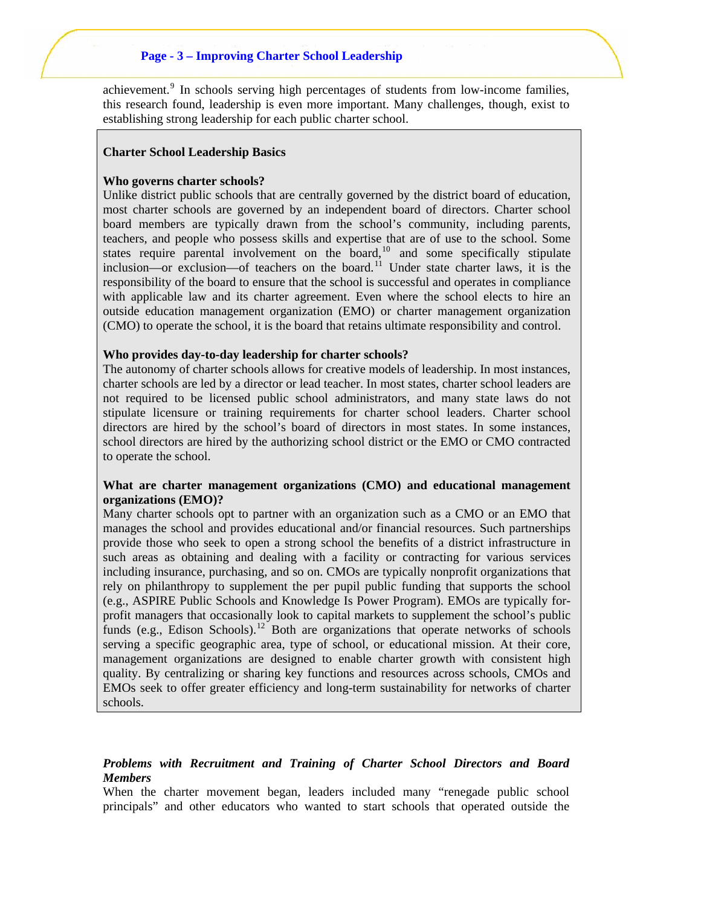## **Page - 3 – Improving Charter School Leadership**

achievement.<sup>[9](#page-10-1)</sup> In schools serving high percentages of students from low-income families, this research found, leadership is even more important. Many challenges, though, exist to establishing strong leadership for each public charter school.

#### **Charter School Leadership Basics**

#### **Who governs charter schools?**

Unlike district public schools that are centrally governed by the district board of education, most charter schools are governed by an independent board of directors. Charter school board members are typically drawn from the school's community, including parents, teachers, and people who possess skills and expertise that are of use to the school. Some states require parental involvement on the board, $10$  and some specifically stipulate inclusion—or exclusion—of teachers on the board.<sup>[11](#page-10-1)</sup> Under state charter laws, it is the responsibility of the board to ensure that the school is successful and operates in compliance with applicable law and its charter agreement. Even where the school elects to hire an outside education management organization (EMO) or charter management organization (CMO) to operate the school, it is the board that retains ultimate responsibility and control.

#### **Who provides day-to-day leadership for charter schools?**

The autonomy of charter schools allows for creative models of leadership. In most instances, charter schools are led by a director or lead teacher. In most states, charter school leaders are not required to be licensed public school administrators, and many state laws do not stipulate licensure or training requirements for charter school leaders. Charter school directors are hired by the school's board of directors in most states. In some instances, school directors are hired by the authorizing school district or the EMO or CMO contracted to operate the school.

## **What are charter management organizations (CMO) and educational management organizations (EMO)?**

Many charter schools opt to partner with an organization such as a CMO or an EMO that manages the school and provides educational and/or financial resources. Such partnerships provide those who seek to open a strong school the benefits of a district infrastructure in such areas as obtaining and dealing with a facility or contracting for various services including insurance, purchasing, and so on. CMOs are typically nonprofit organizations that rely on philanthropy to supplement the per pupil public funding that supports the school (e.g., ASPIRE Public Schools and Knowledge Is Power Program). EMOs are typically forprofit managers that occasionally look to capital markets to supplement the school's public funds (e.g., Edison Schools).<sup>[12](#page-10-1)</sup> Both are organizations that operate networks of schools serving a specific geographic area, type of school, or educational mission. At their core, management organizations are designed to enable charter growth with consistent high quality. By centralizing or sharing key functions and resources across schools, CMOs and EMOs seek to offer greater efficiency and long-term sustainability for networks of charter schools.

# *Problems with Recruitment and Training of Charter School Directors and Board Members*

When the charter movement began, leaders included many "renegade public school principals" and other educators who wanted to start schools that operated outside the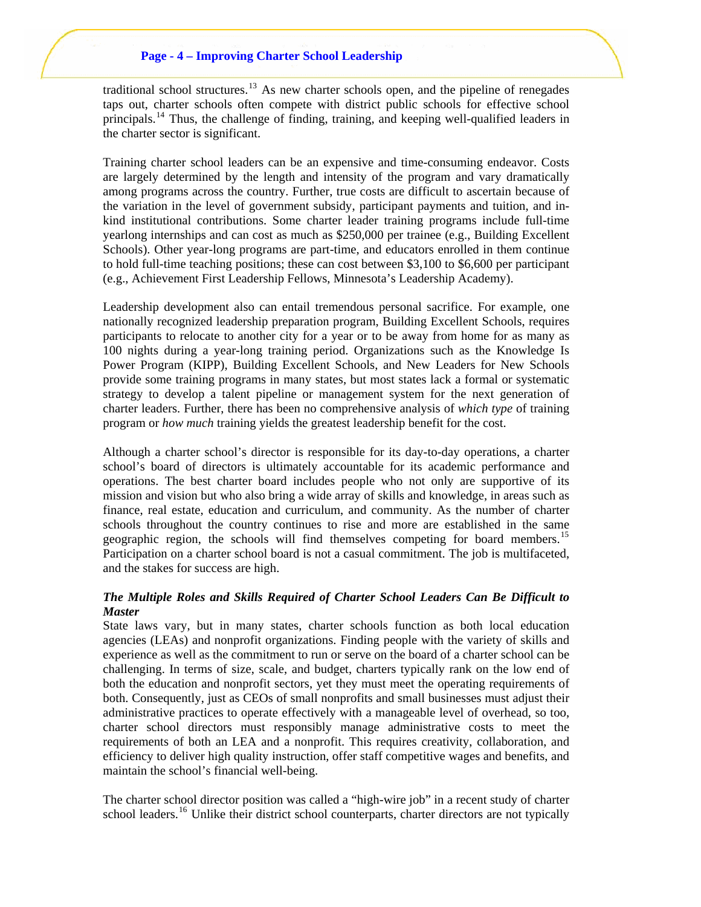traditional school structures.<sup>[13](#page-10-1)</sup> As new charter schools open, and the pipeline of renegades taps out, charter schools often compete with district public schools for effective school principals.<sup>[14](#page-10-1)</sup> Thus, the challenge of finding, training, and keeping well-qualified leaders in the charter sector is significant.

Training charter school leaders can be an expensive and time-consuming endeavor. Costs are largely determined by the length and intensity of the program and vary dramatically among programs across the country. Further, true costs are difficult to ascertain because of the variation in the level of government subsidy, participant payments and tuition, and inkind institutional contributions. Some charter leader training programs include full-time yearlong internships and can cost as much as \$250,000 per trainee (e.g., Building Excellent Schools). Other year-long programs are part-time, and educators enrolled in them continue to hold full-time teaching positions; these can cost between \$3,100 to \$6,600 per participant (e.g., Achievement First Leadership Fellows, Minnesota's Leadership Academy).

Leadership development also can entail tremendous personal sacrifice. For example, one nationally recognized leadership preparation program, Building Excellent Schools, requires participants to relocate to another city for a year or to be away from home for as many as 100 nights during a year-long training period. Organizations such as the Knowledge Is Power Program (KIPP), Building Excellent Schools, and New Leaders for New Schools provide some training programs in many states, but most states lack a formal or systematic strategy to develop a talent pipeline or management system for the next generation of charter leaders. Further, there has been no comprehensive analysis of *which type* of training program or *how much* training yields the greatest leadership benefit for the cost.

Although a charter school's director is responsible for its day-to-day operations, a charter school's board of directors is ultimately accountable for its academic performance and operations. The best charter board includes people who not only are supportive of its mission and vision but who also bring a wide array of skills and knowledge, in areas such as finance, real estate, education and curriculum, and community. As the number of charter schools throughout the country continues to rise and more are established in the same geographic region, the schools will find themselves competing for board members.<sup>[15](#page-11-0)</sup> Participation on a charter school board is not a casual commitment. The job is multifaceted, and the stakes for success are high.

# *The Multiple Roles and Skills Required of Charter School Leaders Can Be Difficult to Master*

State laws vary, but in many states, charter schools function as both local education agencies (LEAs) and nonprofit organizations. Finding people with the variety of skills and experience as well as the commitment to run or serve on the board of a charter school can be challenging. In terms of size, scale, and budget, charters typically rank on the low end of both the education and nonprofit sectors, yet they must meet the operating requirements of both. Consequently, just as CEOs of small nonprofits and small businesses must adjust their administrative practices to operate effectively with a manageable level of overhead, so too, charter school directors must responsibly manage administrative costs to meet the requirements of both an LEA and a nonprofit. This requires creativity, collaboration, and efficiency to deliver high quality instruction, offer staff competitive wages and benefits, and maintain the school's financial well-being.

The charter school director position was called a "high-wire job" in a recent study of charter school leaders.<sup>[16](#page-11-0)</sup> Unlike their district school counterparts, charter directors are not typically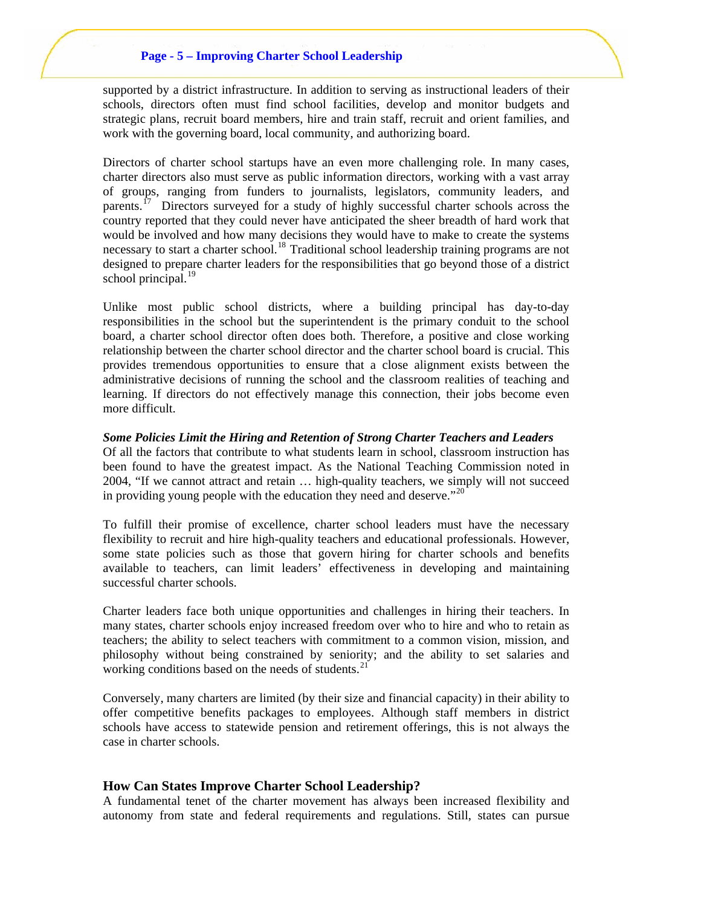supported by a district infrastructure. In addition to serving as instructional leaders of their schools, directors often must find school facilities, develop and monitor budgets and strategic plans, recruit board members, hire and train staff, recruit and orient families, and work with the governing board, local community, and authorizing board.

Directors of charter school startups have an even more challenging role. In many cases, charter directors also must serve as public information directors, working with a vast array of groups, ranging from funders to journalists, legislators, community leaders, and parents.<sup>[17](#page-11-0)</sup> Directors surveyed for a study of highly successful charter schools across the country reported that they could never have anticipated the sheer breadth of hard work that would be involved and how many decisions they would have to make to create the systems necessary to start a charter school.<sup>[18](#page-11-0)</sup> Traditional school leadership training programs are not designed to prepare charter leaders for the responsibilities that go beyond those of a district school principal. $^{19}$ 

Unlike most public school districts, where a building principal has day-to-day responsibilities in the school but the superintendent is the primary conduit to the school board, a charter school director often does both. Therefore, a positive and close working relationship between the charter school director and the charter school board is crucial. This provides tremendous opportunities to ensure that a close alignment exists between the administrative decisions of running the school and the classroom realities of teaching and learning. If directors do not effectively manage this connection, their jobs become even more difficult.

#### *Some Policies Limit the Hiring and Retention of Strong Charter Teachers and Leaders*

Of all the factors that contribute to what students learn in school, classroom instruction has been found to have the greatest impact. As the National Teaching Commission noted in 2004, "If we cannot attract and retain … high-quality teachers, we simply will not succeed in providing young people with the education they need and deserve." $^{20}$  $^{20}$  $^{20}$ 

To fulfill their promise of excellence, charter school leaders must have the necessary flexibility to recruit and hire high-quality teachers and educational professionals. However, some state policies such as those that govern hiring for charter schools and benefits available to teachers, can limit leaders' effectiveness in developing and maintaining successful charter schools.

Charter leaders face both unique opportunities and challenges in hiring their teachers. In many states, charter schools enjoy increased freedom over who to hire and who to retain as teachers; the ability to select teachers with commitment to a common vision, mission, and philosophy without being constrained by seniority; and the ability to set salaries and working conditions based on the needs of students.<sup>[21](#page-11-0)</sup>

Conversely, many charters are limited (by their size and financial capacity) in their ability to offer competitive benefits packages to employees. Although staff members in district schools have access to statewide pension and retirement offerings, this is not always the case in charter schools.

#### **How Can States Improve Charter School Leadership?**

A fundamental tenet of the charter movement has always been increased flexibility and autonomy from state and federal requirements and regulations. Still, states can pursue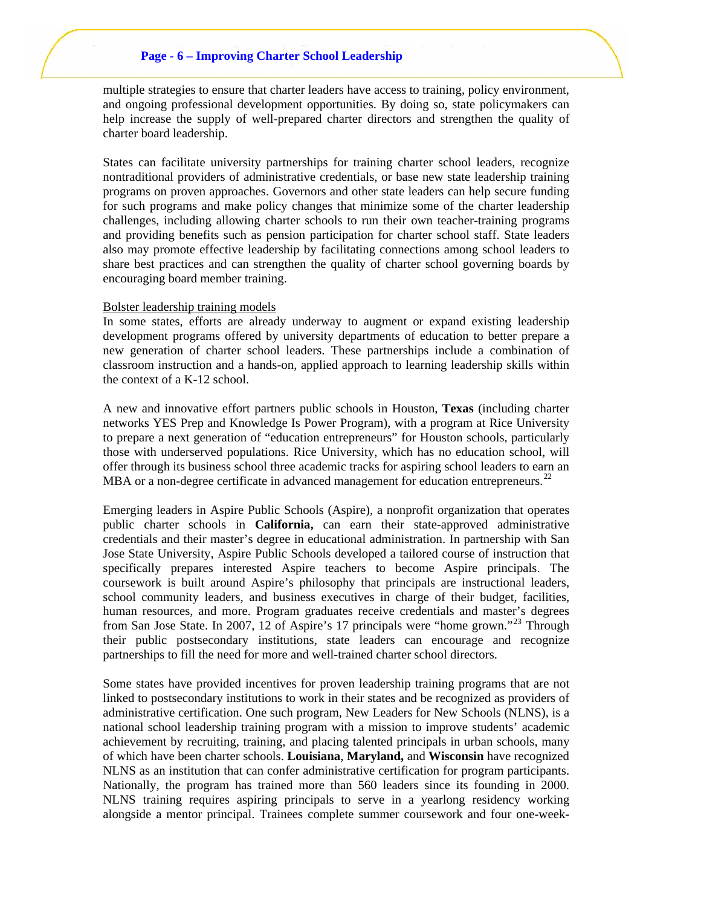## **Page - 6 – Improving Charter School Leadership**

multiple strategies to ensure that charter leaders have access to training, policy environment, and ongoing professional development opportunities. By doing so, state policymakers can help increase the supply of well-prepared charter directors and strengthen the quality of charter board leadership.

States can facilitate university partnerships for training charter school leaders, recognize nontraditional providers of administrative credentials, or base new state leadership training programs on proven approaches. Governors and other state leaders can help secure funding for such programs and make policy changes that minimize some of the charter leadership challenges, including allowing charter schools to run their own teacher-training programs and providing benefits such as pension participation for charter school staff. State leaders also may promote effective leadership by facilitating connections among school leaders to share best practices and can strengthen the quality of charter school governing boards by encouraging board member training.

#### Bolster leadership training models

In some states, efforts are already underway to augment or expand existing leadership development programs offered by university departments of education to better prepare a new generation of charter school leaders. These partnerships include a combination of classroom instruction and a hands-on, applied approach to learning leadership skills within the context of a K-12 school.

A new and innovative effort partners public schools in Houston, **Texas** (including charter networks YES Prep and Knowledge Is Power Program), with a program at Rice University to prepare a next generation of "education entrepreneurs" for Houston schools, particularly those with underserved populations. Rice University, which has no education school, will offer through its business school three academic tracks for aspiring school leaders to earn an MBA or a non-degree certificate in advanced management for education entrepreneurs.<sup>[22](#page-11-0)</sup>

Emerging leaders in Aspire Public Schools (Aspire), a nonprofit organization that operates public charter schools in **California,** can earn their state-approved administrative credentials and their master's degree in educational administration. In partnership with San Jose State University, Aspire Public Schools developed a tailored course of instruction that specifically prepares interested Aspire teachers to become Aspire principals. The coursework is built around Aspire's philosophy that principals are instructional leaders, school community leaders, and business executives in charge of their budget, facilities, human resources, and more. Program graduates receive credentials and master's degrees from San Jose State. In 2007, 12 of Aspire's 17 principals were "home grown."<sup>[23](#page-11-0)</sup> Through their public postsecondary institutions, state leaders can encourage and recognize partnerships to fill the need for more and well-trained charter school directors.

Some states have provided incentives for proven leadership training programs that are not linked to postsecondary institutions to work in their states and be recognized as providers of administrative certification. One such program, New Leaders for New Schools (NLNS), is a national school leadership training program with a mission to improve students' academic achievement by recruiting, training, and placing talented principals in urban schools, many of which have been charter schools. **Louisiana**, **Maryland,** and **Wisconsin** have recognized NLNS as an institution that can confer administrative certification for program participants. Nationally, the program has trained more than 560 leaders since its founding in 2000. NLNS training requires aspiring principals to serve in a yearlong residency working alongside a mentor principal. Trainees complete summer coursework and four one-week-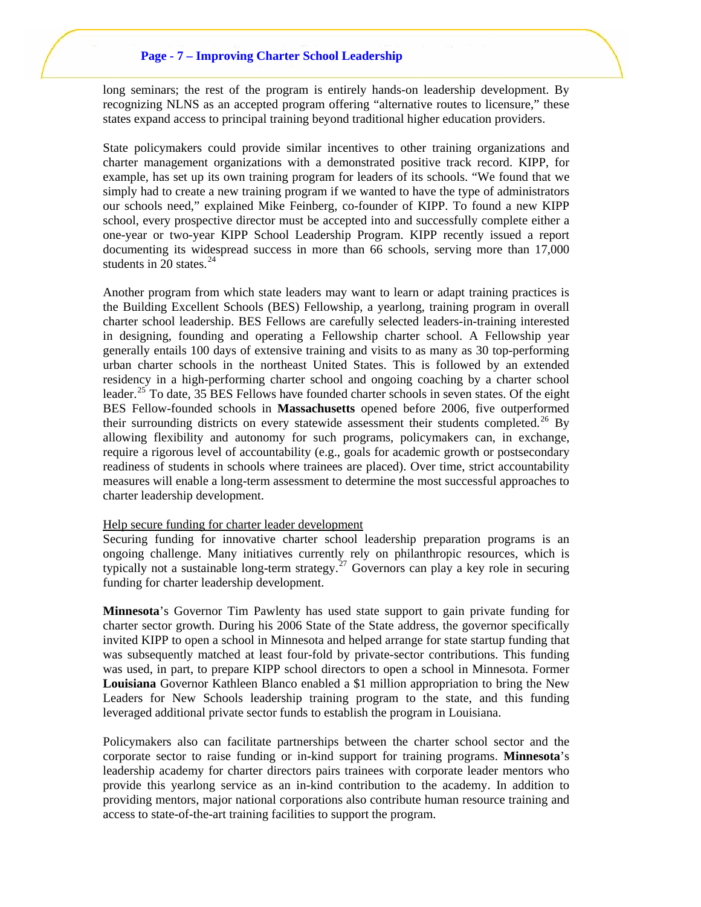## **Page - 7 – Improving Charter School Leadership**

long seminars; the rest of the program is entirely hands-on leadership development. By recognizing NLNS as an accepted program offering "alternative routes to licensure," these states expand access to principal training beyond traditional higher education providers.

State policymakers could provide similar incentives to other training organizations and charter management organizations with a demonstrated positive track record. KIPP, for example, has set up its own training program for leaders of its schools. "We found that we simply had to create a new training program if we wanted to have the type of administrators our schools need," explained Mike Feinberg, co-founder of KIPP. To found a new KIPP school, every prospective director must be accepted into and successfully complete either a one-year or two-year KIPP School Leadership Program. KIPP recently issued a report documenting its widespread success in more than 66 schools, serving more than 17,000 students in 20 states. $24$ 

Another program from which state leaders may want to learn or adapt training practices is the Building Excellent Schools (BES) Fellowship, a yearlong, training program in overall charter school leadership. BES Fellows are carefully selected leaders-in-training interested in designing, founding and operating a Fellowship charter school. A Fellowship year generally entails 100 days of extensive training and visits to as many as 30 top-performing urban charter schools in the northeast United States. This is followed by an extended residency in a high-performing charter school and ongoing coaching by a charter school leader.<sup>[25](#page-11-0)</sup> To date, 35 BES Fellows have founded charter schools in seven states. Of the eight BES Fellow-founded schools in **Massachusetts** opened before 2006, five outperformed their surrounding districts on every statewide assessment their students completed.<sup>[26](#page-11-0)</sup> By allowing flexibility and autonomy for such programs, policymakers can, in exchange, require a rigorous level of accountability (e.g., goals for academic growth or postsecondary readiness of students in schools where trainees are placed). Over time, strict accountability measures will enable a long-term assessment to determine the most successful approaches to charter leadership development.

#### Help secure funding for charter leader development

Securing funding for innovative charter school leadership preparation programs is an ongoing challenge. Many initiatives currently rely on philanthropic resources, which is typically not a sustainable long-term strategy.<sup>[27](#page-11-0)</sup> Governors can play a key role in securing funding for charter leadership development.

**Minnesota**'s Governor Tim Pawlenty has used state support to gain private funding for charter sector growth. During his 2006 State of the State address, the governor specifically invited KIPP to open a school in Minnesota and helped arrange for state startup funding that was subsequently matched at least four-fold by private-sector contributions. This funding was used, in part, to prepare KIPP school directors to open a school in Minnesota. Former **Louisiana** Governor Kathleen Blanco enabled a \$1 million appropriation to bring the New Leaders for New Schools leadership training program to the state, and this funding leveraged additional private sector funds to establish the program in Louisiana.

Policymakers also can facilitate partnerships between the charter school sector and the corporate sector to raise funding or in-kind support for training programs. **Minnesota**'s leadership academy for charter directors pairs trainees with corporate leader mentors who provide this yearlong service as an in-kind contribution to the academy. In addition to providing mentors, major national corporations also contribute human resource training and access to state-of-the-art training facilities to support the program.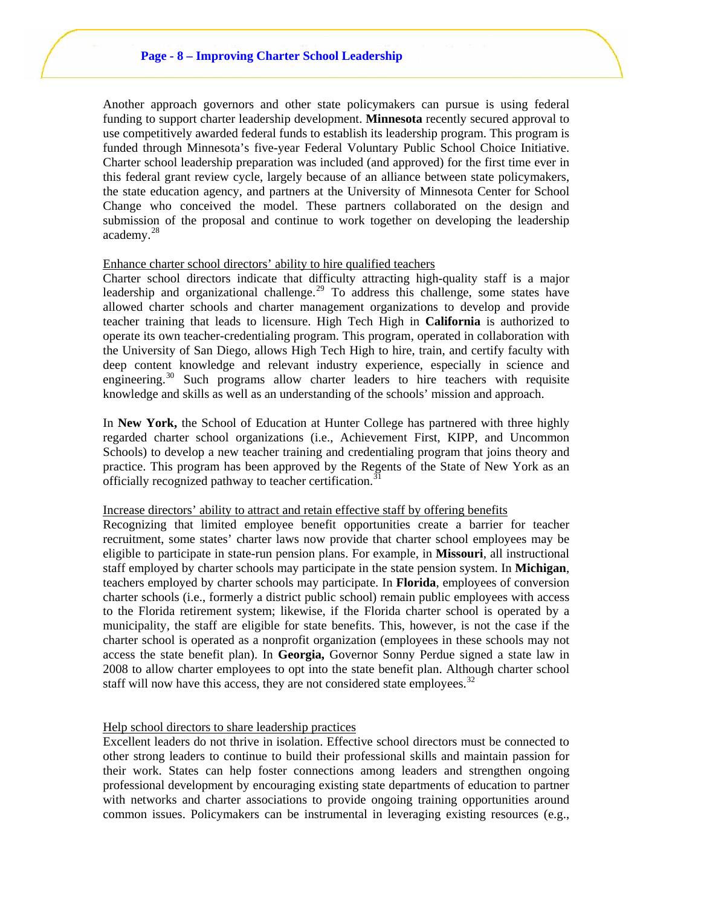Another approach governors and other state policymakers can pursue is using federal funding to support charter leadership development. **Minnesota** recently secured approval to use competitively awarded federal funds to establish its leadership program. This program is funded through Minnesota's five-year Federal Voluntary Public School Choice Initiative. Charter school leadership preparation was included (and approved) for the first time ever in this federal grant review cycle, largely because of an alliance between state policymakers, the state education agency, and partners at the University of Minnesota Center for School Change who conceived the model. These partners collaborated on the design and submission of the proposal and continue to work together on developing the leadership academy.[28](#page-11-0)

#### Enhance charter school directors' ability to hire qualified teachers

Charter school directors indicate that difficulty attracting high-quality staff is a major leadership and organizational challenge.<sup>[29](#page-11-0)</sup> To address this challenge, some states have allowed charter schools and charter management organizations to develop and provide teacher training that leads to licensure. High Tech High in **California** is authorized to operate its own teacher-credentialing program. This program, operated in collaboration with the University of San Diego, allows High Tech High to hire, train, and certify faculty with deep content knowledge and relevant industry experience, especially in science and engineering. $30$  Such programs allow charter leaders to hire teachers with requisite knowledge and skills as well as an understanding of the schools' mission and approach.

In **New York,** the School of Education at Hunter College has partnered with three highly regarded charter school organizations (i.e., Achievement First, KIPP, and Uncommon Schools) to develop a new teacher training and credentialing program that joins theory and practice. This program has been approved by the Regents of the State of New York as an officially recognized pathway to teacher certification.<sup>[31](#page-11-0)</sup>

## Increase directors' ability to attract and retain effective staff by offering benefits

Recognizing that limited employee benefit opportunities create a barrier for teacher recruitment, some states' charter laws now provide that charter school employees may be eligible to participate in state-run pension plans. For example, in **Missouri**, all instructional staff employed by charter schools may participate in the state pension system. In **Michigan**, teachers employed by charter schools may participate. In **Florida**, employees of conversion charter schools (i.e., formerly a district public school) remain public employees with access to the Florida retirement system; likewise, if the Florida charter school is operated by a municipality, the staff are eligible for state benefits. This, however, is not the case if the charter school is operated as a nonprofit organization (employees in these schools may not access the state benefit plan). In **Georgia,** Governor Sonny Perdue signed a state law in 2008 to allow charter employees to opt into the state benefit plan. Although charter school staff will now have this access, they are not considered state employees.<sup>[32](#page-11-0)</sup>

#### Help school directors to share leadership practices

Excellent leaders do not thrive in isolation. Effective school directors must be connected to other strong leaders to continue to build their professional skills and maintain passion for their work. States can help foster connections among leaders and strengthen ongoing professional development by encouraging existing state departments of education to partner with networks and charter associations to provide ongoing training opportunities around common issues. Policymakers can be instrumental in leveraging existing resources (e.g.,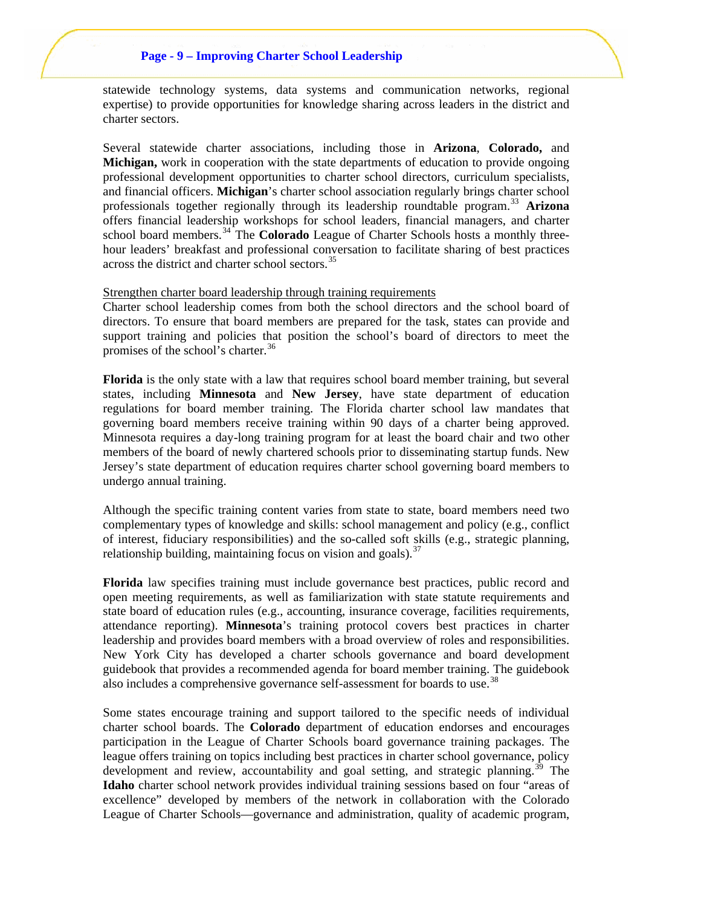# **Page - 9 – Improving Charter School Leadership**

statewide technology systems, data systems and communication networks, regional expertise) to provide opportunities for knowledge sharing across leaders in the district and charter sectors.

Several statewide charter associations, including those in **Arizona**, **Colorado,** and **Michigan,** work in cooperation with the state departments of education to provide ongoing professional development opportunities to charter school directors, curriculum specialists, and financial officers. **Michigan**'s charter school association regularly brings charter school professionals together regionally through its leadership roundtable program.[33](#page-12-0) **Arizona** offers financial leadership workshops for school leaders, financial managers, and charter school board members.<sup>[34](#page-12-0)</sup> The **Colorado** League of Charter Schools hosts a monthly threehour leaders' breakfast and professional conversation to facilitate sharing of best practices across the district and charter school sectors.<sup>[35](#page-12-0)</sup>

#### Strengthen charter board leadership through training requirements

Charter school leadership comes from both the school directors and the school board of directors. To ensure that board members are prepared for the task, states can provide and support training and policies that position the school's board of directors to meet the promises of the school's charter.<sup>[36](#page-12-0)</sup>

**Florida** is the only state with a law that requires school board member training, but several states, including **Minnesota** and **New Jersey**, have state department of education regulations for board member training. The Florida charter school law mandates that governing board members receive training within 90 days of a charter being approved. Minnesota requires a day-long training program for at least the board chair and two other members of the board of newly chartered schools prior to disseminating startup funds. New Jersey's state department of education requires charter school governing board members to undergo annual training.

Although the specific training content varies from state to state, board members need two complementary types of knowledge and skills: school management and policy (e.g., conflict of interest, fiduciary responsibilities) and the so-called soft skills (e.g., strategic planning, relationship building, maintaining focus on vision and goals).  $37$ 

**Florida** law specifies training must include governance best practices, public record and open meeting requirements, as well as familiarization with state statute requirements and state board of education rules (e.g., accounting, insurance coverage, facilities requirements, attendance reporting). **Minnesota**'s training protocol covers best practices in charter leadership and provides board members with a broad overview of roles and responsibilities. New York City has developed a charter schools governance and board development guidebook that provides a recommended agenda for board member training. The guidebook also includes a comprehensive governance self-assessment for boards to use.<sup>[38](#page-12-0)</sup>

Some states encourage training and support tailored to the specific needs of individual charter school boards. The **Colorado** department of education endorses and encourages participation in the League of Charter Schools board governance training packages. The league offers training on topics including best practices in charter school governance, policy development and review, accountability and goal setting, and strategic planning.<sup>[39](#page-12-0)</sup> The **Idaho** charter school network provides individual training sessions based on four "areas of excellence" developed by members of the network in collaboration with the Colorado League of Charter Schools—governance and administration, quality of academic program,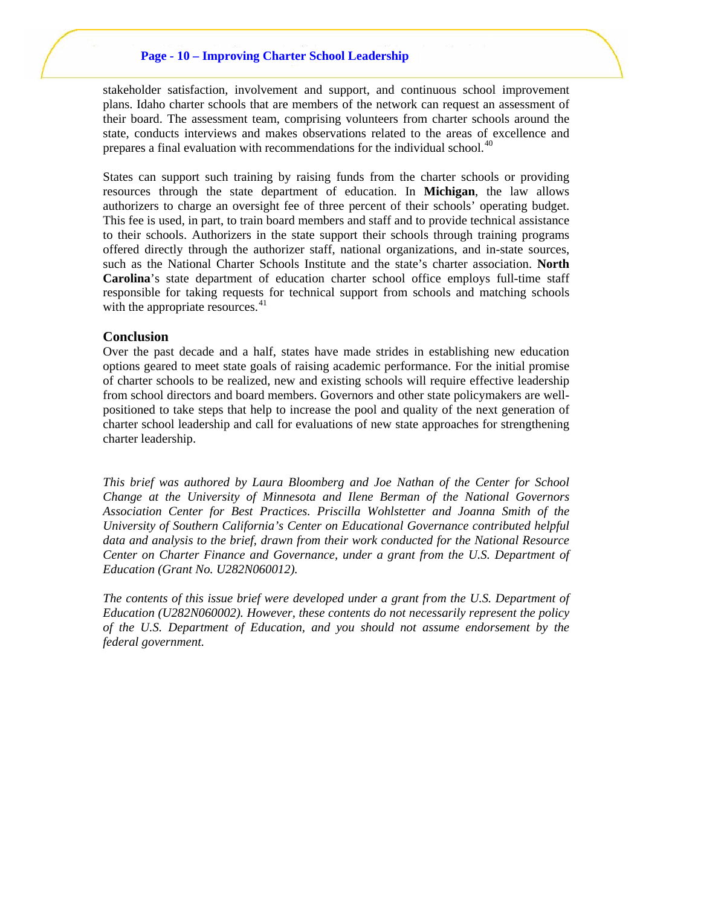#### **Page - 10 – Improving Charter School Leadership**

stakeholder satisfaction, involvement and support, and continuous school improvement plans. Idaho charter schools that are members of the network can request an assessment of their board. The assessment team, comprising volunteers from charter schools around the state, conducts interviews and makes observations related to the areas of excellence and prepares a final evaluation with recommendations for the individual school.<sup>[40](#page-12-0)</sup>

States can support such training by raising funds from the charter schools or providing resources through the state department of education. In **Michigan**, the law allows authorizers to charge an oversight fee of three percent of their schools' operating budget. This fee is used, in part, to train board members and staff and to provide technical assistance to their schools. Authorizers in the state support their schools through training programs offered directly through the authorizer staff, national organizations, and in-state sources, such as the National Charter Schools Institute and the state's charter association. **North Carolina**'s state department of education charter school office employs full-time staff responsible for taking requests for technical support from schools and matching schools with the appropriate resources.<sup>[41](#page-12-0)</sup>

#### **Conclusion**

Over the past decade and a half, states have made strides in establishing new education options geared to meet state goals of raising academic performance. For the initial promise of charter schools to be realized, new and existing schools will require effective leadership from school directors and board members. Governors and other state policymakers are wellpositioned to take steps that help to increase the pool and quality of the next generation of charter school leadership and call for evaluations of new state approaches for strengthening charter leadership.

*This brief was authored by Laura Bloomberg and Joe Nathan of the Center for School Change at the University of Minnesota and Ilene Berman of the National Governors Association Center for Best Practices. Priscilla Wohlstetter and Joanna Smith of the University of Southern California's Center on Educational Governance contributed helpful data and analysis to the brief, drawn from their work conducted for the National Resource Center on Charter Finance and Governance, under a grant from the U.S. Department of Education (Grant No. U282N060012).* 

*The contents of this issue brief were developed under a grant from the U.S. Department of Education (U282N060002). However, these contents do not necessarily represent the policy of the U.S. Department of Education, and you should not assume endorsement by the federal government.*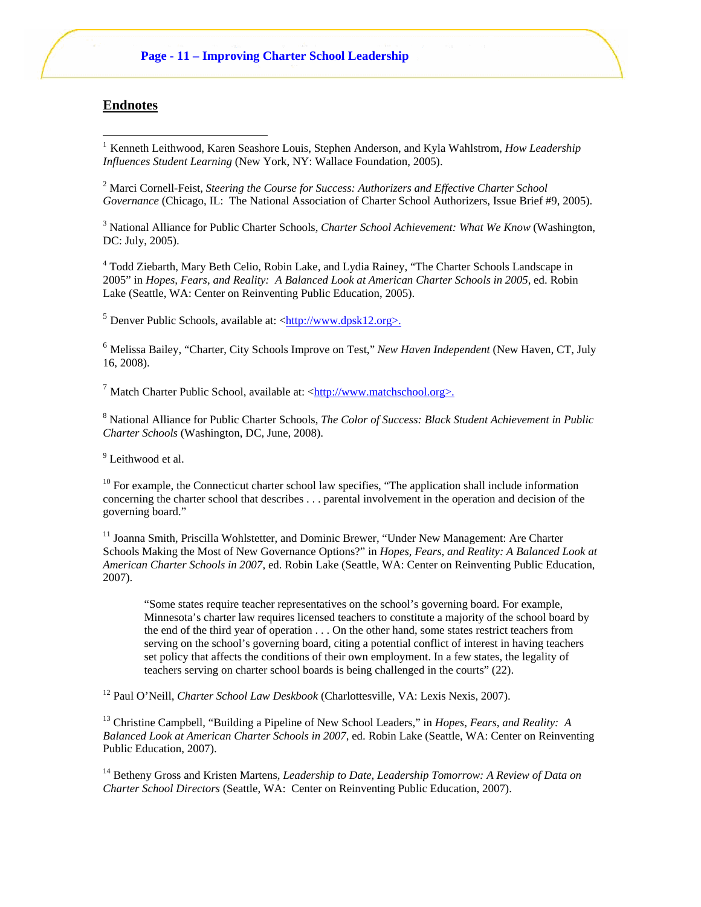# <span id="page-10-1"></span>**Endnotes**

l

<span id="page-10-0"></span><sup>1</sup> Kenneth Leithwood, Karen Seashore Louis, Stephen Anderson, and Kyla Wahlstrom, *How Leadership Influences Student Learning* (New York, NY: Wallace Foundation, 2005).

<sup>2</sup> Marci Cornell-Feist, *Steering the Course for Success: Authorizers and Effective Charter School Governance* (Chicago, IL: The National Association of Charter School Authorizers, Issue Brief #9, 2005).

3 National Alliance for Public Charter Schools, *Charter School Achievement: What We Know* (Washington, DC: July, 2005).

<sup>4</sup> Todd Ziebarth, Mary Beth Celio, Robin Lake, and Lydia Rainey, "The Charter Schools Landscape in 2005" in *Hopes, Fears, and Reality: A Balanced Look at American Charter Schools in 2005*, ed. Robin Lake (Seattle, WA: Center on Reinventing Public Education, 2005).

 $<sup>5</sup>$  Denver Public Schools, available at:  $\langle \frac{http://www.dpsk12.org>}{http://www.dpsk12.org>}$ .</sup>

<sup>6</sup> Melissa Bailey, "Charter, City Schools Improve on Test," *New Haven Independent* (New Haven, CT, July 16, 2008).

<sup>7</sup> Match Charter Public School, available at: <http://www.matchschool.org>.

8 National Alliance for Public Charter Schools, *The Color of Success: Black Student Achievement in Public Charter Schools* (Washington, DC, June, 2008).

<sup>9</sup> Leithwood et al.

 $10$  For example, the Connecticut charter school law specifies, "The application shall include information concerning the charter school that describes . . . parental involvement in the operation and decision of the governing board."

<sup>11</sup> Joanna Smith, Priscilla Wohlstetter, and Dominic Brewer, "Under New Management: Are Charter Schools Making the Most of New Governance Options?" in *Hopes, Fears, and Reality: A Balanced Look at American Charter Schools in 2007*, ed. Robin Lake (Seattle, WA: Center on Reinventing Public Education, 2007).

"Some states require teacher representatives on the school's governing board. For example, Minnesota's charter law requires licensed teachers to constitute a majority of the school board by the end of the third year of operation . . . On the other hand, some states restrict teachers from serving on the school's governing board, citing a potential conflict of interest in having teachers set policy that affects the conditions of their own employment. In a few states, the legality of teachers serving on charter school boards is being challenged in the courts" (22).

12 Paul O'Neill, *Charter School Law Deskbook* (Charlottesville, VA: Lexis Nexis, 2007).

<sup>13</sup> Christine Campbell, "Building a Pipeline of New School Leaders," in *Hopes, Fears, and Reality: A Balanced Look at American Charter Schools in 2007*, ed. Robin Lake (Seattle, WA: Center on Reinventing Public Education, 2007).

<sup>14</sup> Betheny Gross and Kristen Martens, *Leadership to Date, Leadership Tomorrow: A Review of Data on Charter School Directors* (Seattle, WA: Center on Reinventing Public Education, 2007).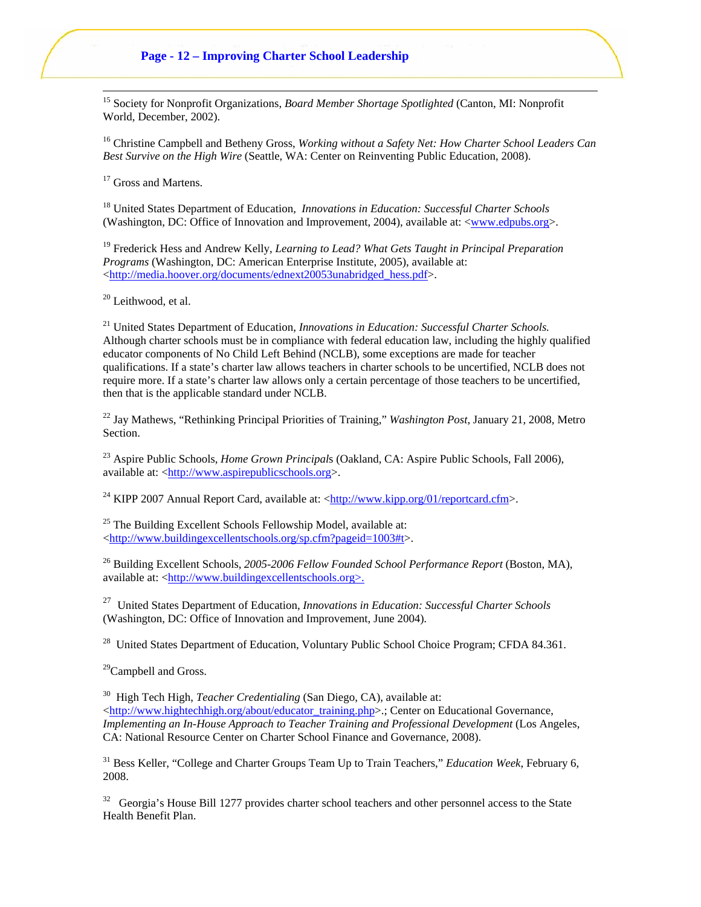# **Page - 12 – Improving Charter School Leadership**

15 Society for Nonprofit Organizations, *Board Member Shortage Spotlighted* (Canton, MI: Nonprofit World, December, 2002).

<sup>16</sup> Christine Campbell and Betheny Gross, *Working without a Safety Net: How Charter School Leaders Can Best Survive on the High Wire* (Seattle, WA: Center on Reinventing Public Education, 2008).

<sup>17</sup> Gross and Martens.

<span id="page-11-0"></span>l

18 United States Department of Education, *Innovations in Education: Successful Charter Schools* (Washington, DC: Office of Innovation and Improvement, 2004), available at: [<www.edpubs.org>](http://www.edpubs.org/).

19 Frederick Hess and Andrew Kelly, *Learning to Lead? What Gets Taught in Principal Preparation Programs* (Washington, DC: American Enterprise Institute, 2005), available at: <[http://media.hoover.org/documents/ednext20053unabridged\\_hess.pdf>](http://media.hoover.org/documents/ednext20053unabridged_hess.pdf).

 $20$  Leithwood, et al.

21 United States Department of Education, *Innovations in Education: Successful Charter Schools.* Although charter schools must be in compliance with federal education law, including the highly qualified educator components of No Child Left Behind (NCLB), some exceptions are made for teacher qualifications. If a state's charter law allows teachers in charter schools to be uncertified, NCLB does not require more. If a state's charter law allows only a certain percentage of those teachers to be uncertified, then that is the applicable standard under NCLB.

22 Jay Mathews, "Rethinking Principal Priorities of Training," *Washington Post*, January 21, 2008, Metro Section.

23 Aspire Public Schools, *Home Grown Principal*s (Oakland, CA: Aspire Public Schools, Fall 2006), available at: <[http://www.aspirepublicschools.org](http://www.aspirepublicschools.org/)>.

<sup>24</sup> KIPP 2007 Annual Report Card, available at: [<http://www.kipp.org/01/reportcard.cfm>](http://www.kipp.org/01/reportcard.cfm).

 $25$  The Building Excellent Schools Fellowship Model, available at: <[http://www.buildingexcellentschools.org/sp.cfm?pageid=1003#t](http://www.buildingexcellentschools.org/sp.cfm?pageid=1003%23t)>.

26 Building Excellent Schools, *2005-2006 Fellow Founded School Performance Report* (Boston, MA), available at: <http://www.buildingexcellentschools.org>.

27 United States Department of Education, *Innovations in Education: Successful Charter Schools*  (Washington, DC: Office of Innovation and Improvement, June 2004)*.*

 $^{28}$  United States Department of Education, Voluntary Public School Choice Program; CFDA 84.361.

 $^{29}$ Campbell and Gross.

<sup>30</sup> High Tech High, *Teacher Credentialing* (San Diego, CA), available at: <[http://www.hightechhigh.org/about/educator\\_training.php](http://www.hightechhigh.org/about/educator_training.php)>.; Center on Educational Governance, *Implementing an In-House Approach to Teacher Training and Professional Development* (Los Angeles, CA: National Resource Center on Charter School Finance and Governance, 2008).

31 Bess Keller, "College and Charter Groups Team Up to Train Teachers," *Education Week*, February 6, 2008.

 $32$  Georgia's House Bill 1277 provides charter school teachers and other personnel access to the State Health Benefit Plan.